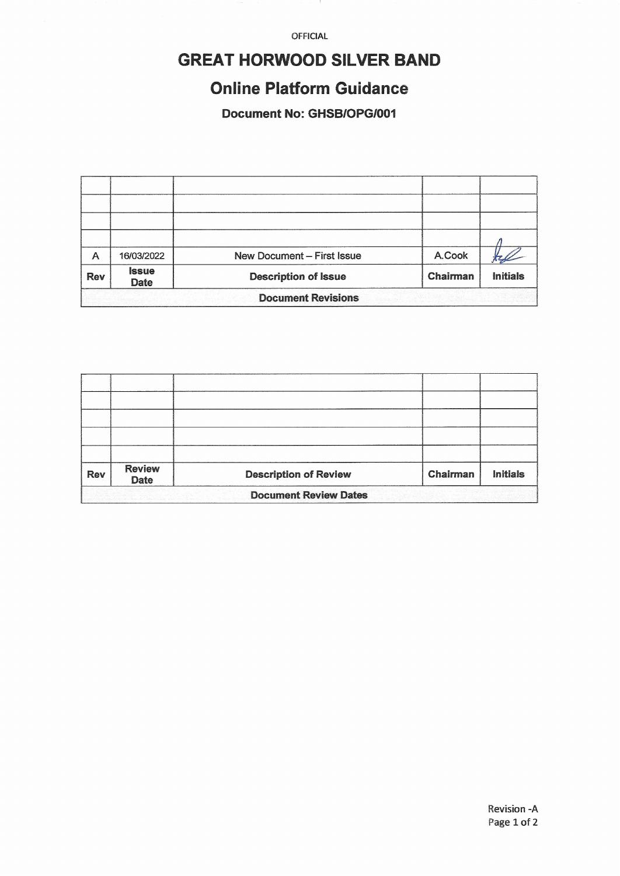OFFICIAL

# **GREAT HORWOOD SILVER BAND**

## **Online Platform Guidance**

**Document No: GHSB/OPG/001** 

| A                         | 16/03/2022                  | <b>New Document - First Issue</b> | A.Cook   |                 |  |
|---------------------------|-----------------------------|-----------------------------------|----------|-----------------|--|
| <b>Rev</b>                | <b>Issue</b><br><b>Date</b> | <b>Description of Issue</b>       | Chairman | <b>Initials</b> |  |
| <b>Document Revisions</b> |                             |                                   |          |                 |  |

| <b>Rev</b> | <b>Review</b><br><b>Date</b> | <b>Description of Review</b> | Chairman | <b>Initials</b> |
|------------|------------------------------|------------------------------|----------|-----------------|